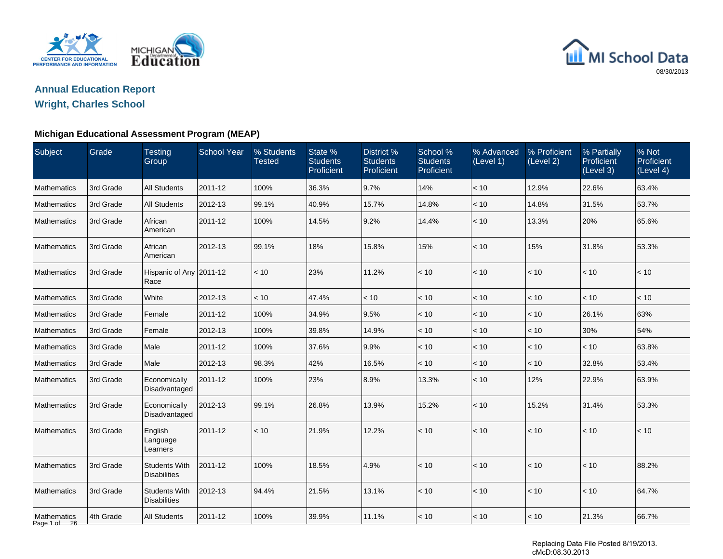

# MI School Data 08/30/2013

# **Annual Education Report**

### **Wright, Charles School**

#### **Michigan Educational Assessment Program (MEAP)**

| Subject                     | Grade     | <b>Testing</b><br>Group                     | <b>School Year</b> | % Students<br><b>Tested</b> | State %<br><b>Students</b><br>Proficient | District %<br><b>Students</b><br>Proficient | School %<br><b>Students</b><br>Proficient | % Advanced<br>(Level 1) | % Proficient<br>(Level 2) | % Partially<br>Proficient<br>(Level 3) | % Not<br>Proficient<br>(Level 4) |
|-----------------------------|-----------|---------------------------------------------|--------------------|-----------------------------|------------------------------------------|---------------------------------------------|-------------------------------------------|-------------------------|---------------------------|----------------------------------------|----------------------------------|
| <b>Mathematics</b>          | 3rd Grade | <b>All Students</b>                         | 2011-12            | 100%                        | 36.3%                                    | 9.7%                                        | 14%                                       | < 10                    | 12.9%                     | 22.6%                                  | 63.4%                            |
| <b>Mathematics</b>          | 3rd Grade | <b>All Students</b>                         | 2012-13            | 99.1%                       | 40.9%                                    | 15.7%                                       | 14.8%                                     | < 10                    | 14.8%                     | 31.5%                                  | 53.7%                            |
| Mathematics                 | 3rd Grade | African<br>American                         | 2011-12            | 100%                        | 14.5%                                    | 9.2%                                        | 14.4%                                     | < 10                    | 13.3%                     | 20%                                    | 65.6%                            |
| <b>Mathematics</b>          | 3rd Grade | African<br>American                         | 2012-13            | 99.1%                       | 18%                                      | 15.8%                                       | 15%                                       | < 10                    | 15%                       | 31.8%                                  | 53.3%                            |
| <b>Mathematics</b>          | 3rd Grade | Hispanic of Any 2011-12<br>Race             |                    | < 10                        | 23%                                      | 11.2%                                       | < 10                                      | < 10                    | < 10                      | < 10                                   | < 10                             |
| Mathematics                 | 3rd Grade | White                                       | 2012-13            | < 10                        | 47.4%                                    | < 10                                        | < 10                                      | < 10                    | < 10                      | < 10                                   | < 10                             |
| Mathematics                 | 3rd Grade | Female                                      | 2011-12            | 100%                        | 34.9%                                    | 9.5%                                        | < 10                                      | < 10                    | < 10                      | 26.1%                                  | 63%                              |
| Mathematics                 | 3rd Grade | Female                                      | 2012-13            | 100%                        | 39.8%                                    | 14.9%                                       | < 10                                      | < 10                    | < 10                      | 30%                                    | 54%                              |
| <b>Mathematics</b>          | 3rd Grade | Male                                        | 2011-12            | 100%                        | 37.6%                                    | 9.9%                                        | < 10                                      | < 10                    | $<10$                     | < 10                                   | 63.8%                            |
| <b>Mathematics</b>          | 3rd Grade | Male                                        | 2012-13            | 98.3%                       | 42%                                      | 16.5%                                       | < 10                                      | < 10                    | < 10                      | 32.8%                                  | 53.4%                            |
| Mathematics                 | 3rd Grade | Economically<br>Disadvantaged               | 2011-12            | 100%                        | 23%                                      | 8.9%                                        | 13.3%                                     | < 10                    | 12%                       | 22.9%                                  | 63.9%                            |
| Mathematics                 | 3rd Grade | Economically<br>Disadvantaged               | 2012-13            | 99.1%                       | 26.8%                                    | 13.9%                                       | 15.2%                                     | < 10                    | 15.2%                     | 31.4%                                  | 53.3%                            |
| Mathematics                 | 3rd Grade | English<br>Language<br>Learners             | 2011-12            | < 10                        | 21.9%                                    | 12.2%                                       | < 10                                      | $<10$                   | < 10                      | < 10                                   | < 10                             |
| Mathematics                 | 3rd Grade | <b>Students With</b><br><b>Disabilities</b> | 2011-12            | 100%                        | 18.5%                                    | 4.9%                                        | $<10$                                     | $<10$                   | $<10$                     | $<10$                                  | 88.2%                            |
| Mathematics                 | 3rd Grade | <b>Students With</b><br><b>Disabilities</b> | 2012-13            | 94.4%                       | 21.5%                                    | 13.1%                                       | < 10                                      | $<10$                   | $<10$                     | < 10                                   | 64.7%                            |
| Mathematics<br>Page 1 of 26 | 4th Grade | <b>All Students</b>                         | 2011-12            | 100%                        | 39.9%                                    | 11.1%                                       | < 10                                      | $<10$                   | $<10$                     | 21.3%                                  | 66.7%                            |

Replacing Data File Posted 8/19/2013. cMcD:08.30.2013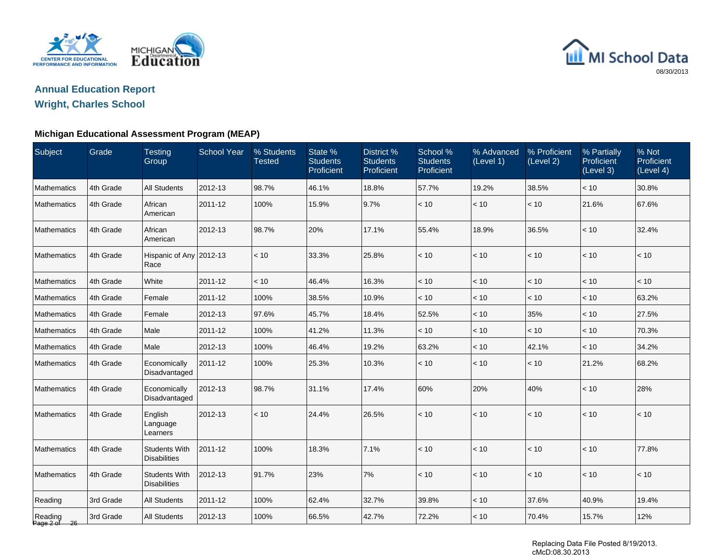

# MI School Data 08/30/2013

# **Annual Education Report**

### **Wright, Charles School**

#### **Michigan Educational Assessment Program (MEAP)**

| Subject                 | Grade     | <b>Testing</b><br>Group                     | <b>School Year</b> | % Students<br><b>Tested</b> | State %<br><b>Students</b><br>Proficient | District %<br><b>Students</b><br>Proficient | School %<br><b>Students</b><br>Proficient | % Advanced<br>(Level 1) | % Proficient<br>(Level 2) | % Partially<br>Proficient<br>(Level 3) | % Not<br>Proficient<br>(Level 4) |
|-------------------------|-----------|---------------------------------------------|--------------------|-----------------------------|------------------------------------------|---------------------------------------------|-------------------------------------------|-------------------------|---------------------------|----------------------------------------|----------------------------------|
| Mathematics             | 4th Grade | <b>All Students</b>                         | 2012-13            | 98.7%                       | 46.1%                                    | 18.8%                                       | 57.7%                                     | 19.2%                   | 38.5%                     | < 10                                   | 30.8%                            |
| Mathematics             | 4th Grade | African<br>American                         | 2011-12            | 100%                        | 15.9%                                    | 9.7%                                        | < 10                                      | $<10$                   | < 10                      | 21.6%                                  | 67.6%                            |
| Mathematics             | 4th Grade | African<br>American                         | 2012-13            | 98.7%                       | 20%                                      | 17.1%                                       | 55.4%                                     | 18.9%                   | 36.5%                     | < 10                                   | 32.4%                            |
| Mathematics             | 4th Grade | Hispanic of Any 2012-13<br>Race             |                    | < 10                        | 33.3%                                    | 25.8%                                       | < 10                                      | < 10                    | < 10                      | < 10                                   | < 10                             |
| Mathematics             | 4th Grade | White                                       | 2011-12            | < 10                        | 46.4%                                    | 16.3%                                       | < 10                                      | $<10$                   | $<10$                     | < 10                                   | < 10                             |
| Mathematics             | 4th Grade | Female                                      | 2011-12            | 100%                        | 38.5%                                    | 10.9%                                       | < 10                                      | < 10                    | < 10                      | < 10                                   | 63.2%                            |
| Mathematics             | 4th Grade | Female                                      | 2012-13            | 97.6%                       | 45.7%                                    | 18.4%                                       | 52.5%                                     | $<10$                   | 35%                       | < 10                                   | 27.5%                            |
| Mathematics             | 4th Grade | Male                                        | 2011-12            | 100%                        | 41.2%                                    | 11.3%                                       | < 10                                      | < 10                    | < 10                      | < 10                                   | 70.3%                            |
| Mathematics             | 4th Grade | Male                                        | 2012-13            | 100%                        | 46.4%                                    | 19.2%                                       | 63.2%                                     | $<10$                   | 42.1%                     | < 10                                   | 34.2%                            |
| Mathematics             | 4th Grade | Economically<br>Disadvantaged               | 2011-12            | 100%                        | 25.3%                                    | 10.3%                                       | < 10                                      | < 10                    | $<10$                     | 21.2%                                  | 68.2%                            |
| Mathematics             | 4th Grade | Economically<br>Disadvantaged               | 2012-13            | 98.7%                       | 31.1%                                    | 17.4%                                       | 60%                                       | 20%                     | 40%                       | < 10                                   | 28%                              |
| Mathematics             | 4th Grade | English<br>Language<br>Learners             | 2012-13            | $<10$                       | 24.4%                                    | 26.5%                                       | < 10                                      | $<10$                   | $<10$                     | $<10$                                  | $<10$                            |
| Mathematics             | 4th Grade | <b>Students With</b><br><b>Disabilities</b> | 2011-12            | 100%                        | 18.3%                                    | 7.1%                                        | < 10                                      | < 10                    | < 10                      | < 10                                   | 77.8%                            |
| Mathematics             | 4th Grade | <b>Students With</b><br><b>Disabilities</b> | 2012-13            | 91.7%                       | 23%                                      | 7%                                          | < 10                                      | < 10                    | < 10                      | < 10                                   | < 10                             |
| Reading                 | 3rd Grade | <b>All Students</b>                         | 2011-12            | 100%                        | 62.4%                                    | 32.7%                                       | 39.8%                                     | < 10                    | 37.6%                     | 40.9%                                  | 19.4%                            |
| Reading<br>Page 2 of 26 | 3rd Grade | <b>All Students</b>                         | 2012-13            | 100%                        | 66.5%                                    | 42.7%                                       | 72.2%                                     | < 10                    | 70.4%                     | 15.7%                                  | 12%                              |

Replacing Data File Posted 8/19/2013. cMcD:08.30.2013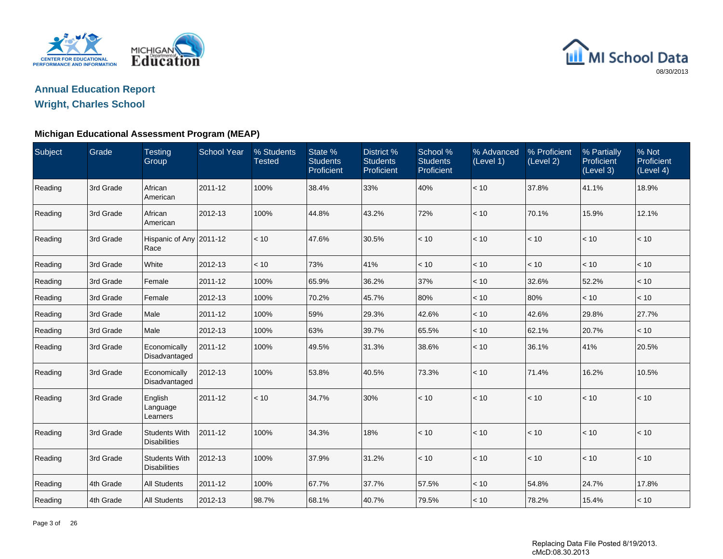



### **Wright, Charles School**

#### **Michigan Educational Assessment Program (MEAP)**

| Subject | Grade     | <b>Testing</b><br>Group                     | <b>School Year</b> | % Students<br><b>Tested</b> | State %<br><b>Students</b><br>Proficient | District %<br><b>Students</b><br>Proficient | School %<br><b>Students</b><br><b>Proficient</b> | % Advanced<br>(Level 1) | % Proficient<br>(Level 2) | % Partially<br>Proficient<br>(Level 3) | % Not<br>Proficient<br>(Level 4) |
|---------|-----------|---------------------------------------------|--------------------|-----------------------------|------------------------------------------|---------------------------------------------|--------------------------------------------------|-------------------------|---------------------------|----------------------------------------|----------------------------------|
| Reading | 3rd Grade | African<br>American                         | 2011-12            | 100%                        | 38.4%                                    | 33%                                         | 40%                                              | $<10$                   | 37.8%                     | 41.1%                                  | 18.9%                            |
| Reading | 3rd Grade | African<br>American                         | 2012-13            | 100%                        | 44.8%                                    | 43.2%                                       | 72%                                              | < 10                    | 70.1%                     | 15.9%                                  | 12.1%                            |
| Reading | 3rd Grade | Hispanic of Any 2011-12<br>Race             |                    | < 10                        | 47.6%                                    | 30.5%                                       | < 10                                             | < 10                    | < 10                      | < 10                                   | < 10                             |
| Reading | 3rd Grade | White                                       | 2012-13            | < 10                        | 73%                                      | 41%                                         | < 10                                             | $<10$                   | $<10$                     | $<10$                                  | < 10                             |
| Reading | 3rd Grade | Female                                      | 2011-12            | 100%                        | 65.9%                                    | 36.2%                                       | 37%                                              | < 10                    | 32.6%                     | 52.2%                                  | < 10                             |
| Reading | 3rd Grade | Female                                      | 2012-13            | 100%                        | 70.2%                                    | 45.7%                                       | 80%                                              | < 10                    | 80%                       | < 10                                   | < 10                             |
| Reading | 3rd Grade | Male                                        | 2011-12            | 100%                        | 59%                                      | 29.3%                                       | 42.6%                                            | $<10$                   | 42.6%                     | 29.8%                                  | 27.7%                            |
| Reading | 3rd Grade | Male                                        | 2012-13            | 100%                        | 63%                                      | 39.7%                                       | 65.5%                                            | < 10                    | 62.1%                     | 20.7%                                  | < 10                             |
| Reading | 3rd Grade | Economically<br>Disadvantaged               | 2011-12            | 100%                        | 49.5%                                    | 31.3%                                       | 38.6%                                            | < 10                    | 36.1%                     | 41%                                    | 20.5%                            |
| Reading | 3rd Grade | Economically<br>Disadvantaged               | 2012-13            | 100%                        | 53.8%                                    | 40.5%                                       | 73.3%                                            | $<10$                   | 71.4%                     | 16.2%                                  | 10.5%                            |
| Reading | 3rd Grade | English<br>Language<br>Learners             | 2011-12            | < 10                        | 34.7%                                    | 30%                                         | < 10                                             | < 10                    | < 10                      | < 10                                   | < 10                             |
| Reading | 3rd Grade | <b>Students With</b><br><b>Disabilities</b> | 2011-12            | 100%                        | 34.3%                                    | 18%                                         | < 10                                             | < 10                    | < 10                      | < 10                                   | < 10                             |
| Reading | 3rd Grade | <b>Students With</b><br><b>Disabilities</b> | 2012-13            | 100%                        | 37.9%                                    | 31.2%                                       | < 10                                             | < 10                    | < 10                      | < 10                                   | < 10                             |
| Reading | 4th Grade | <b>All Students</b>                         | 2011-12            | 100%                        | 67.7%                                    | 37.7%                                       | 57.5%                                            | < 10                    | 54.8%                     | 24.7%                                  | 17.8%                            |
| Reading | 4th Grade | <b>All Students</b>                         | 2012-13            | 98.7%                       | 68.1%                                    | 40.7%                                       | 79.5%                                            | < 10                    | 78.2%                     | 15.4%                                  | < 10                             |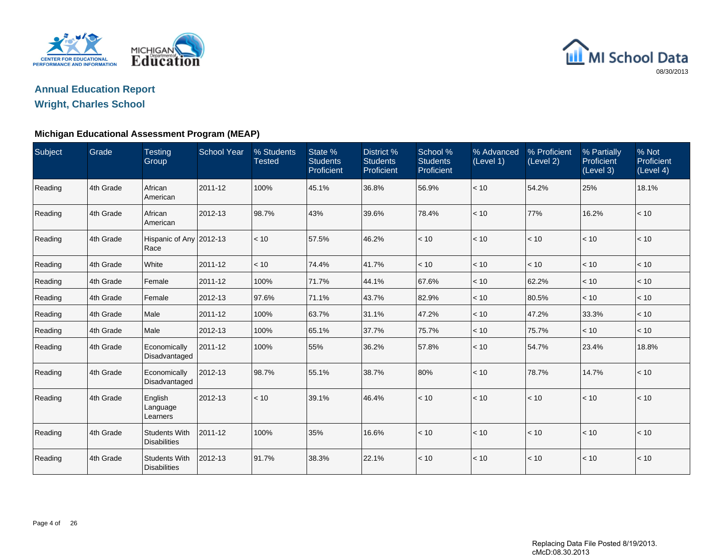



### **Wright, Charles School**

#### **Michigan Educational Assessment Program (MEAP)**

| Subject | Grade     | <b>Testing</b><br>Group                     | <b>School Year</b> | % Students<br>Tested | State %<br><b>Students</b><br>Proficient | District %<br><b>Students</b><br>Proficient | School %<br><b>Students</b><br><b>Proficient</b> | % Advanced<br>(Level 1) | % Proficient<br>(Level 2) | % Partially<br>Proficient<br>(Level 3) | % Not<br>Proficient<br>(Level 4) |
|---------|-----------|---------------------------------------------|--------------------|----------------------|------------------------------------------|---------------------------------------------|--------------------------------------------------|-------------------------|---------------------------|----------------------------------------|----------------------------------|
| Reading | 4th Grade | African<br>American                         | 2011-12            | 100%                 | 45.1%                                    | 36.8%                                       | 56.9%                                            | < 10                    | 54.2%                     | 25%                                    | 18.1%                            |
| Reading | 4th Grade | African<br>American                         | 2012-13            | 98.7%                | 43%                                      | 39.6%                                       | 78.4%                                            | < 10                    | 77%                       | 16.2%                                  | < 10                             |
| Reading | 4th Grade | Hispanic of Any 2012-13<br>Race             |                    | < 10                 | 57.5%                                    | 46.2%                                       | < 10                                             | < 10                    | < 10                      | < 10                                   | < 10                             |
| Reading | 4th Grade | White                                       | 2011-12            | < 10                 | 74.4%                                    | 41.7%                                       | < 10                                             | < 10                    | < 10                      | < 10                                   | < 10                             |
| Reading | 4th Grade | Female                                      | 2011-12            | 100%                 | 71.7%                                    | 44.1%                                       | 67.6%                                            | < 10                    | 62.2%                     | < 10                                   | < 10                             |
| Reading | 4th Grade | Female                                      | 2012-13            | 97.6%                | 71.1%                                    | 43.7%                                       | 82.9%                                            | < 10                    | 80.5%                     | < 10                                   | < 10                             |
| Reading | 4th Grade | Male                                        | 2011-12            | 100%                 | 63.7%                                    | 31.1%                                       | 47.2%                                            | < 10                    | 47.2%                     | 33.3%                                  | < 10                             |
| Reading | 4th Grade | Male                                        | 2012-13            | 100%                 | 65.1%                                    | 37.7%                                       | 75.7%                                            | < 10                    | 75.7%                     | < 10                                   | < 10                             |
| Reading | 4th Grade | Economically<br>Disadvantaged               | 2011-12            | 100%                 | 55%                                      | 36.2%                                       | 57.8%                                            | < 10                    | 54.7%                     | 23.4%                                  | 18.8%                            |
| Reading | 4th Grade | Economically<br>Disadvantaged               | 2012-13            | 98.7%                | 55.1%                                    | 38.7%                                       | 80%                                              | < 10                    | 78.7%                     | 14.7%                                  | < 10                             |
| Reading | 4th Grade | English<br>Language<br>Learners             | 2012-13            | < 10                 | 39.1%                                    | 46.4%                                       | < 10                                             | < 10                    | < 10                      | < 10                                   | < 10                             |
| Reading | 4th Grade | <b>Students With</b><br><b>Disabilities</b> | 2011-12            | 100%                 | 35%                                      | 16.6%                                       | < 10                                             | < 10                    | < 10                      | < 10                                   | < 10                             |
| Reading | 4th Grade | <b>Students With</b><br><b>Disabilities</b> | 2012-13            | 91.7%                | 38.3%                                    | 22.1%                                       | < 10                                             | < 10                    | $\leq 10$                 | < 10                                   | < 10                             |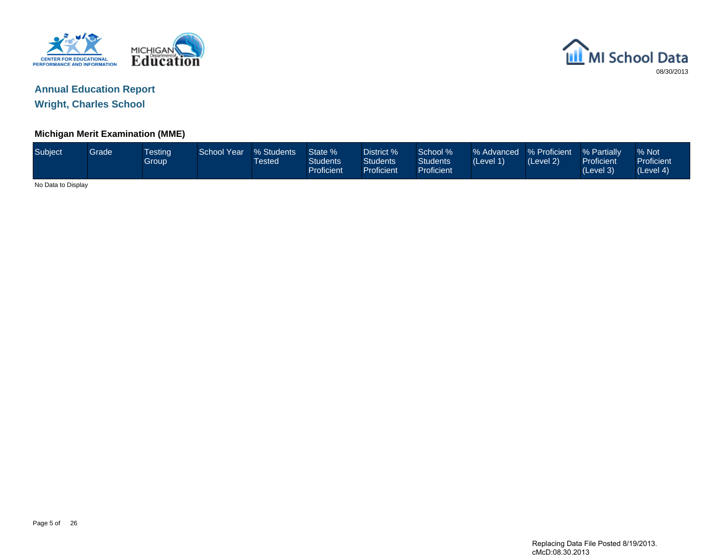



**Wright, Charles School**

#### **Michigan Merit Examination (MME)**

| Subject            | Grade | <b>Testing</b><br>Group | <b>School Year</b> | % Students<br>Гested | State %<br><b>Students</b><br>Proficient | District %<br>Students<br><b>Proficient</b> | School %<br><b>Students</b><br>Proficient | % Advanced % Proficient<br>(Level 1) | (Level 2) | <b>1% Partially</b><br><b>Proficient</b><br>(Level 3) | % Not<br>Proficient<br>(Level 4) |
|--------------------|-------|-------------------------|--------------------|----------------------|------------------------------------------|---------------------------------------------|-------------------------------------------|--------------------------------------|-----------|-------------------------------------------------------|----------------------------------|
| No Data to Display |       |                         |                    |                      |                                          |                                             |                                           |                                      |           |                                                       |                                  |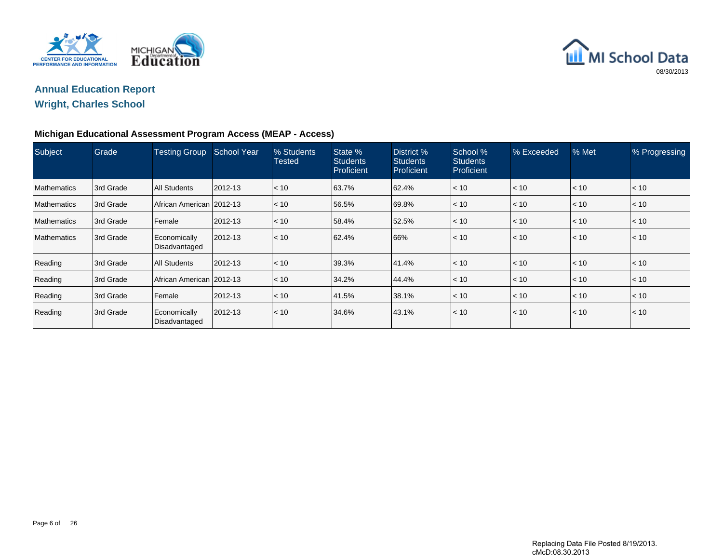



### **Wright, Charles School**

#### **Michigan Educational Assessment Program Access (MEAP - Access)**

| Subject            | Grade      | <b>Testing Group</b>          | <b>School Year</b> | % Students<br><b>Tested</b> | State %<br><b>Students</b><br>Proficient | District %<br><b>Students</b><br>Proficient | School %<br><b>Students</b><br>Proficient | % Exceeded | % Met | % Progressing |
|--------------------|------------|-------------------------------|--------------------|-----------------------------|------------------------------------------|---------------------------------------------|-------------------------------------------|------------|-------|---------------|
| <b>Mathematics</b> | 3rd Grade  | <b>All Students</b>           | 2012-13            | $\vert$ < 10                | 63.7%                                    | 62.4%                                       | < 10                                      | < 10       | < 10  | $ $ < 10 $ $  |
| <b>Mathematics</b> | 3rd Grade  | African American 2012-13      |                    | $\vert$ < 10                | 56.5%                                    | 69.8%                                       | < 10                                      | < 10       | < 10  | < 10          |
| <b>Mathematics</b> | 13rd Grade | <b>Female</b>                 | 2012-13            | $\vert$ < 10                | 58.4%                                    | 52.5%                                       | < 10                                      | < 10       | < 10  | $ $ < 10      |
| Mathematics        | 3rd Grade  | Economically<br>Disadvantaged | 2012-13            | $ $ < 10                    | 62.4%                                    | 66%                                         | < 10                                      | < 10       | < 10  | < 10          |
| Reading            | 3rd Grade  | <b>All Students</b>           | 2012-13            | $ $ < 10                    | 39.3%                                    | 41.4%                                       | < 10                                      | < 10       | < 10  | $ $ < 10      |
| Reading            | 3rd Grade  | African American 2012-13      |                    | $\vert$ < 10                | 34.2%                                    | 44.4%                                       | < 10                                      | < 10       | < 10  | $ $ < 10      |
| Reading            | 3rd Grade  | <b>Female</b>                 | 2012-13            | $ $ < 10                    | 41.5%                                    | 38.1%                                       | < 10                                      | < 10       | < 10  | $ $ < 10      |
| Reading            | 3rd Grade  | Economically<br>Disadvantaged | 2012-13            | $ $ < 10                    | 34.6%                                    | 43.1%                                       | < 10                                      | < 10       | < 10  | < 10          |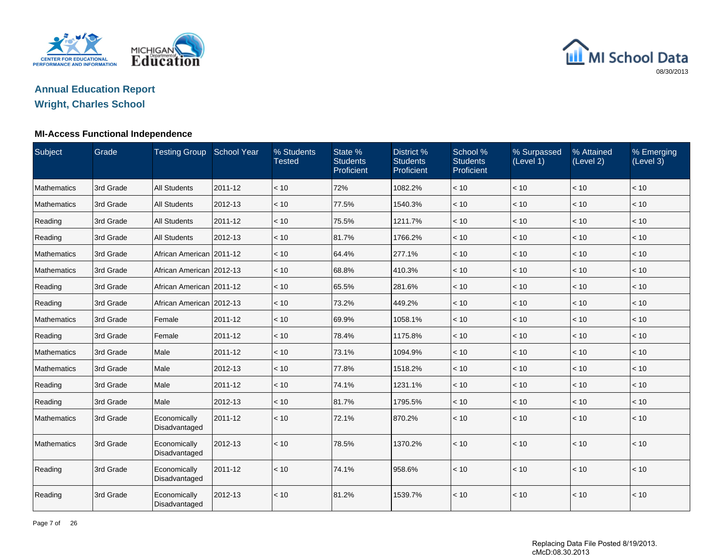



**Wright, Charles School**

#### **MI-Access Functional Independence**

| Subject            | Grade     | Testing Group School Year     |         | % Students<br><b>Tested</b> | State %<br><b>Students</b><br>Proficient | District %<br><b>Students</b><br>Proficient | School %<br><b>Students</b><br>Proficient | % Surpassed<br>(Level 1) | % Attained<br>(Level 2) | % Emerging<br>(Level 3) |
|--------------------|-----------|-------------------------------|---------|-----------------------------|------------------------------------------|---------------------------------------------|-------------------------------------------|--------------------------|-------------------------|-------------------------|
| <b>Mathematics</b> | 3rd Grade | <b>All Students</b>           | 2011-12 | < 10                        | 72%                                      | 1082.2%                                     | < 10                                      | < 10                     | < 10                    | < 10                    |
| <b>Mathematics</b> | 3rd Grade | <b>All Students</b>           | 2012-13 | < 10                        | 77.5%                                    | 1540.3%                                     | < 10                                      | < 10                     | < 10                    | < 10                    |
| Reading            | 3rd Grade | <b>All Students</b>           | 2011-12 | < 10                        | 75.5%                                    | 1211.7%                                     | < 10                                      | < 10                     | < 10                    | $<10$                   |
| Reading            | 3rd Grade | <b>All Students</b>           | 2012-13 | < 10                        | 81.7%                                    | 1766.2%                                     | < 10                                      | < 10                     | < 10                    | < 10                    |
| <b>Mathematics</b> | 3rd Grade | African American 2011-12      |         | < 10                        | 64.4%                                    | 277.1%                                      | < 10                                      | < 10                     | < 10                    | < 10                    |
| <b>Mathematics</b> | 3rd Grade | African American 2012-13      |         | < 10                        | 68.8%                                    | 410.3%                                      | < 10                                      | < 10                     | < 10                    | $<10$                   |
| Reading            | 3rd Grade | African American   2011-12    |         | < 10                        | 65.5%                                    | 281.6%                                      | < 10                                      | < 10                     | < 10                    | < 10                    |
| Reading            | 3rd Grade | African American 2012-13      |         | < 10                        | 73.2%                                    | 449.2%                                      | < 10                                      | < 10                     | < 10                    | < 10                    |
| <b>Mathematics</b> | 3rd Grade | Female                        | 2011-12 | < 10                        | 69.9%                                    | 1058.1%                                     | < 10                                      | < 10                     | < 10                    | $<10$                   |
| Reading            | 3rd Grade | Female                        | 2011-12 | < 10                        | 78.4%                                    | 1175.8%                                     | < 10                                      | < 10                     | < 10                    | < 10                    |
| <b>Mathematics</b> | 3rd Grade | Male                          | 2011-12 | < 10                        | 73.1%                                    | 1094.9%                                     | < 10                                      | < 10                     | < 10                    | < 10                    |
| <b>Mathematics</b> | 3rd Grade | Male                          | 2012-13 | < 10                        | 77.8%                                    | 1518.2%                                     | < 10                                      | < 10                     | < 10                    | < 10                    |
| Reading            | 3rd Grade | Male                          | 2011-12 | < 10                        | 74.1%                                    | 1231.1%                                     | < 10                                      | < 10                     | < 10                    | < 10                    |
| Reading            | 3rd Grade | Male                          | 2012-13 | < 10                        | 81.7%                                    | 1795.5%                                     | < 10                                      | < 10                     | < 10                    | < 10                    |
| <b>Mathematics</b> | 3rd Grade | Economically<br>Disadvantaged | 2011-12 | < 10                        | 72.1%                                    | 870.2%                                      | < 10                                      | < 10                     | < 10                    | < 10                    |
| <b>Mathematics</b> | 3rd Grade | Economically<br>Disadvantaged | 2012-13 | < 10                        | 78.5%                                    | 1370.2%                                     | < 10                                      | < 10                     | < 10                    | < 10                    |
| Reading            | 3rd Grade | Economically<br>Disadvantaged | 2011-12 | < 10                        | 74.1%                                    | 958.6%                                      | < 10                                      | < 10                     | < 10                    | < 10                    |
| Reading            | 3rd Grade | Economically<br>Disadvantaged | 2012-13 | < 10                        | 81.2%                                    | 1539.7%                                     | < 10                                      | < 10                     | < 10                    | $<10$                   |

Page 7 of 26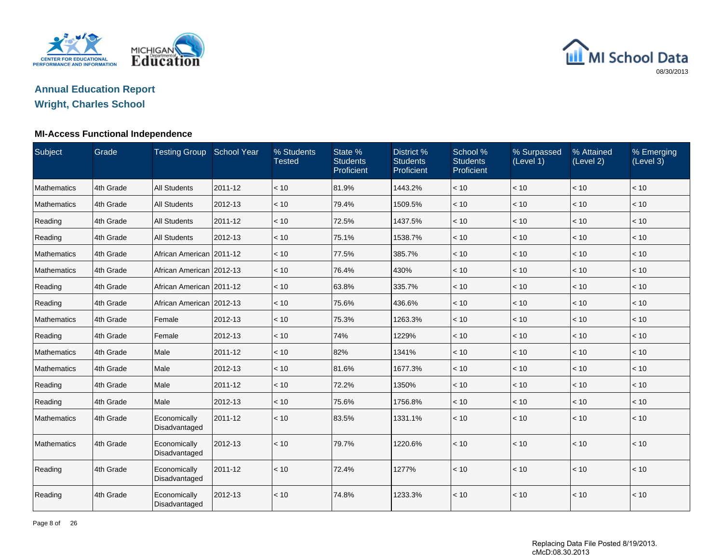



**Wright, Charles School**

#### **MI-Access Functional Independence**

| Subject            | Grade     | Testing Group School Year     |         | % Students<br><b>Tested</b> | State %<br><b>Students</b><br>Proficient | District %<br><b>Students</b><br>Proficient | School %<br><b>Students</b><br>Proficient | % Surpassed<br>(Level 1) | % Attained<br>(Level 2) | % Emerging<br>(Level 3) |
|--------------------|-----------|-------------------------------|---------|-----------------------------|------------------------------------------|---------------------------------------------|-------------------------------------------|--------------------------|-------------------------|-------------------------|
| <b>Mathematics</b> | 4th Grade | <b>All Students</b>           | 2011-12 | < 10                        | 81.9%                                    | 1443.2%                                     | < 10                                      | < 10                     | < 10                    | < 10                    |
| <b>Mathematics</b> | 4th Grade | <b>All Students</b>           | 2012-13 | < 10                        | 79.4%                                    | 1509.5%                                     | < 10                                      | < 10                     | < 10                    | < 10                    |
| Reading            | 4th Grade | <b>All Students</b>           | 2011-12 | < 10                        | 72.5%                                    | 1437.5%                                     | < 10                                      | < 10                     | < 10                    | < 10                    |
| Reading            | 4th Grade | <b>All Students</b>           | 2012-13 | < 10                        | 75.1%                                    | 1538.7%                                     | < 10                                      | < 10                     | < 10                    | < 10                    |
| <b>Mathematics</b> | 4th Grade | African American 2011-12      |         | < 10                        | 77.5%                                    | 385.7%                                      | < 10                                      | < 10                     | < 10                    | < 10                    |
| <b>Mathematics</b> | 4th Grade | African American 2012-13      |         | < 10                        | 76.4%                                    | 430%                                        | < 10                                      | < 10                     | $<10$                   | $<10$                   |
| Reading            | 4th Grade | African American 2011-12      |         | < 10                        | 63.8%                                    | 335.7%                                      | < 10                                      | < 10                     | < 10                    | < 10                    |
| Reading            | 4th Grade | African American 2012-13      |         | < 10                        | 75.6%                                    | 436.6%                                      | < 10                                      | < 10                     | < 10                    | < 10                    |
| <b>Mathematics</b> | 4th Grade | Female                        | 2012-13 | < 10                        | 75.3%                                    | 1263.3%                                     | < 10                                      | < 10                     | < 10                    | < 10                    |
| Reading            | 4th Grade | Female                        | 2012-13 | < 10                        | 74%                                      | 1229%                                       | < 10                                      | < 10                     | < 10                    | < 10                    |
| <b>Mathematics</b> | 4th Grade | Male                          | 2011-12 | < 10                        | 82%                                      | 1341%                                       | < 10                                      | < 10                     | < 10                    | < 10                    |
| <b>Mathematics</b> | 4th Grade | Male                          | 2012-13 | < 10                        | 81.6%                                    | 1677.3%                                     | < 10                                      | < 10                     | < 10                    | < 10                    |
| Reading            | 4th Grade | Male                          | 2011-12 | < 10                        | 72.2%                                    | 1350%                                       | < 10                                      | < 10                     | < 10                    | < 10                    |
| Reading            | 4th Grade | Male                          | 2012-13 | < 10                        | 75.6%                                    | 1756.8%                                     | < 10                                      | < 10                     | < 10                    | < 10                    |
| <b>Mathematics</b> | 4th Grade | Economically<br>Disadvantaged | 2011-12 | < 10                        | 83.5%                                    | 1331.1%                                     | < 10                                      | < 10                     | < 10                    | < 10                    |
| <b>Mathematics</b> | 4th Grade | Economically<br>Disadvantaged | 2012-13 | < 10                        | 79.7%                                    | 1220.6%                                     | < 10                                      | < 10                     | < 10                    | < 10                    |
| Reading            | 4th Grade | Economically<br>Disadvantaged | 2011-12 | < 10                        | 72.4%                                    | 1277%                                       | < 10                                      | < 10                     | < 10                    | < 10                    |
| Reading            | 4th Grade | Economically<br>Disadvantaged | 2012-13 | < 10                        | 74.8%                                    | 1233.3%                                     | < 10                                      | < 10                     | < 10                    | < 10                    |

Page 8 of 26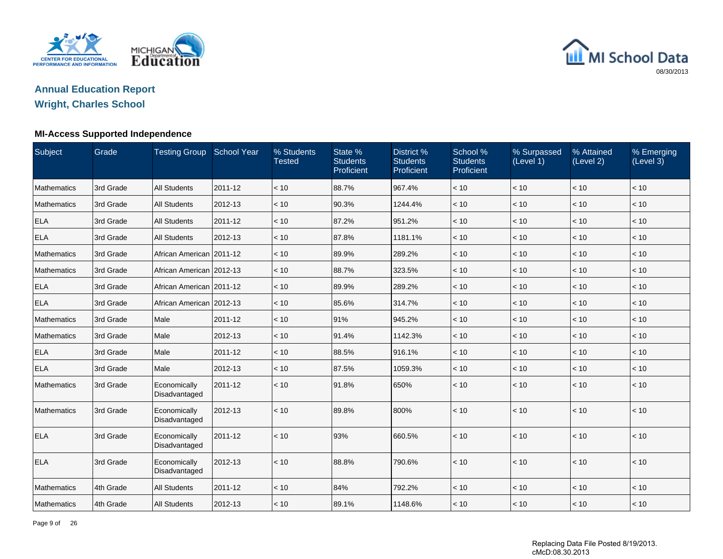



**Wright, Charles School**

#### **MI-Access Supported Independence**

| Subject            | Grade     | Testing Group School Year     |         | % Students<br><b>Tested</b> | State %<br><b>Students</b><br>Proficient | District %<br><b>Students</b><br>Proficient | School %<br><b>Students</b><br>Proficient | % Surpassed<br>(Level 1) | % Attained<br>(Level 2) | % Emerging<br>(Level 3) |
|--------------------|-----------|-------------------------------|---------|-----------------------------|------------------------------------------|---------------------------------------------|-------------------------------------------|--------------------------|-------------------------|-------------------------|
| <b>Mathematics</b> | 3rd Grade | <b>All Students</b>           | 2011-12 | < 10                        | 88.7%                                    | 967.4%                                      | < 10                                      | < 10                     | < 10                    | < 10                    |
| <b>Mathematics</b> | 3rd Grade | <b>All Students</b>           | 2012-13 | < 10                        | 90.3%                                    | 1244.4%                                     | < 10                                      | < 10                     | < 10                    | < 10                    |
| <b>ELA</b>         | 3rd Grade | <b>All Students</b>           | 2011-12 | < 10                        | 87.2%                                    | 951.2%                                      | < 10                                      | < 10                     | < 10                    | < 10                    |
| <b>ELA</b>         | 3rd Grade | <b>All Students</b>           | 2012-13 | < 10                        | 87.8%                                    | 1181.1%                                     | < 10                                      | < 10                     | < 10                    | < 10                    |
| <b>Mathematics</b> | 3rd Grade | African American 2011-12      |         | < 10                        | 89.9%                                    | 289.2%                                      | < 10                                      | < 10                     | < 10                    | < 10                    |
| <b>Mathematics</b> | 3rd Grade | African American 2012-13      |         | < 10                        | 88.7%                                    | 323.5%                                      | < 10                                      | < 10                     | < 10                    | < 10                    |
| <b>ELA</b>         | 3rd Grade | African American   2011-12    |         | < 10                        | 89.9%                                    | 289.2%                                      | < 10                                      | < 10                     | < 10                    | < 10                    |
| <b>ELA</b>         | 3rd Grade | African American 2012-13      |         | < 10                        | 85.6%                                    | 314.7%                                      | < 10                                      | < 10                     | < 10                    | < 10                    |
| <b>Mathematics</b> | 3rd Grade | Male                          | 2011-12 | < 10                        | 91%                                      | 945.2%                                      | < 10                                      | < 10                     | < 10                    | < 10                    |
| <b>Mathematics</b> | 3rd Grade | Male                          | 2012-13 | < 10                        | 91.4%                                    | 1142.3%                                     | < 10                                      | < 10                     | < 10                    | < 10                    |
| <b>ELA</b>         | 3rd Grade | Male                          | 2011-12 | < 10                        | 88.5%                                    | 916.1%                                      | < 10                                      | < 10                     | < 10                    | < 10                    |
| <b>ELA</b>         | 3rd Grade | Male                          | 2012-13 | < 10                        | 87.5%                                    | 1059.3%                                     | < 10                                      | < 10                     | < 10                    | < 10                    |
| <b>Mathematics</b> | 3rd Grade | Economically<br>Disadvantaged | 2011-12 | < 10                        | 91.8%                                    | 650%                                        | < 10                                      | < 10                     | < 10                    | < 10                    |
| Mathematics        | 3rd Grade | Economically<br>Disadvantaged | 2012-13 | < 10                        | 89.8%                                    | 800%                                        | < 10                                      | < 10                     | < 10                    | < 10                    |
| <b>ELA</b>         | 3rd Grade | Economically<br>Disadvantaged | 2011-12 | < 10                        | 93%                                      | 660.5%                                      | < 10                                      | < 10                     | $<10$                   | $<10$                   |
| <b>ELA</b>         | 3rd Grade | Economically<br>Disadvantaged | 2012-13 | < 10                        | 88.8%                                    | 790.6%                                      | < 10                                      | < 10                     | < 10                    | < 10                    |
| <b>Mathematics</b> | 4th Grade | <b>All Students</b>           | 2011-12 | < 10                        | 84%                                      | 792.2%                                      | < 10                                      | < 10                     | < 10                    | < 10                    |
| Mathematics        | 4th Grade | <b>All Students</b>           | 2012-13 | < 10                        | 89.1%                                    | 1148.6%                                     | < 10                                      | < 10                     | < 10                    | < 10                    |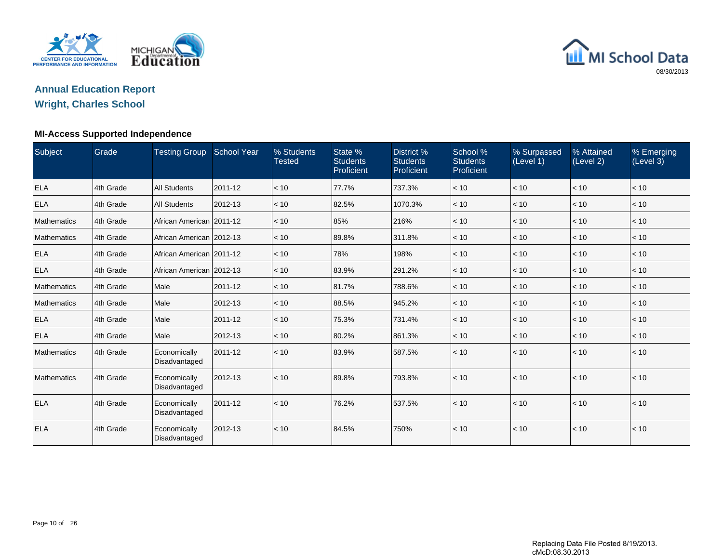

# MI School Data 08/30/2013

# **Annual Education Report**

### **Wright, Charles School**

#### **MI-Access Supported Independence**

| Subject            | Grade     | Testing Group School Year     |         | % Students<br><b>Tested</b> | State %<br><b>Students</b><br>Proficient | District %<br><b>Students</b><br>Proficient | School %<br><b>Students</b><br>Proficient | % Surpassed<br>(Level 1) | % Attained<br>(Level 2) | % Emerging<br>(Level 3) |
|--------------------|-----------|-------------------------------|---------|-----------------------------|------------------------------------------|---------------------------------------------|-------------------------------------------|--------------------------|-------------------------|-------------------------|
| <b>ELA</b>         | 4th Grade | <b>All Students</b>           | 2011-12 | < 10                        | 77.7%                                    | 737.3%                                      | < 10                                      | < 10                     | < 10                    | $\vert$ < 10            |
| <b>ELA</b>         | 4th Grade | <b>All Students</b>           | 2012-13 | < 10                        | 82.5%                                    | 1070.3%                                     | < 10                                      | < 10                     | < 10                    | $\vert$ < 10            |
| <b>Mathematics</b> | 4th Grade | African American 2011-12      |         | < 10                        | 85%                                      | 216%                                        | < 10                                      | < 10                     | < 10                    | $\vert$ < 10            |
| <b>Mathematics</b> | 4th Grade | African American 2012-13      |         | < 10                        | 89.8%                                    | 311.8%                                      | < 10                                      | < 10                     | < 10                    | $\vert$ < 10            |
| <b>ELA</b>         | 4th Grade | African American   2011-12    |         | < 10                        | 78%                                      | 198%                                        | < 10                                      | < 10                     | < 10                    | $ $ < 10                |
| <b>ELA</b>         | 4th Grade | African American 2012-13      |         | < 10                        | 83.9%                                    | 291.2%                                      | < 10                                      | < 10                     | < 10                    | $\vert$ < 10            |
| <b>Mathematics</b> | 4th Grade | Male                          | 2011-12 | < 10                        | 81.7%                                    | 788.6%                                      | < 10                                      | < 10                     | < 10                    | $\vert$ < 10            |
| <b>Mathematics</b> | 4th Grade | Male                          | 2012-13 | < 10                        | 88.5%                                    | 945.2%                                      | < 10                                      | < 10                     | < 10                    | $ $ < 10                |
| <b>ELA</b>         | 4th Grade | Male                          | 2011-12 | < 10                        | 75.3%                                    | 731.4%                                      | < 10                                      | < 10                     | < 10                    | $\vert$ < 10            |
| <b>ELA</b>         | 4th Grade | Male                          | 2012-13 | < 10                        | 80.2%                                    | 861.3%                                      | < 10                                      | < 10                     | < 10                    | $\vert$ < 10            |
| <b>Mathematics</b> | 4th Grade | Economically<br>Disadvantaged | 2011-12 | < 10                        | 83.9%                                    | 587.5%                                      | < 10                                      | < 10                     | < 10                    | $\vert$ < 10            |
| <b>Mathematics</b> | 4th Grade | Economically<br>Disadvantaged | 2012-13 | < 10                        | 89.8%                                    | 793.8%                                      | < 10                                      | < 10                     | < 10                    | $\vert$ < 10            |
| <b>ELA</b>         | 4th Grade | Economically<br>Disadvantaged | 2011-12 | < 10                        | 76.2%                                    | 537.5%                                      | < 10                                      | < 10                     | < 10                    | $\vert$ < 10            |
| <b>ELA</b>         | 4th Grade | Economically<br>Disadvantaged | 2012-13 | < 10                        | 84.5%                                    | 750%                                        | < 10                                      | < 10                     | < 10                    | $ $ < 10                |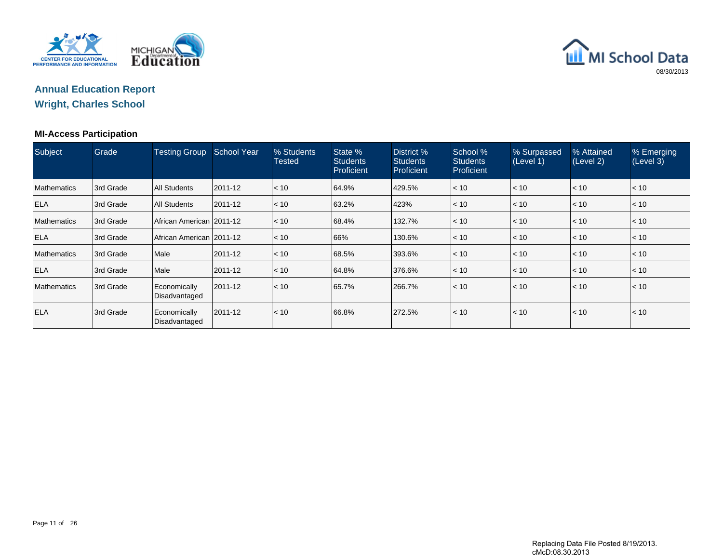

# MI School Data 08/30/2013

### **Annual Education ReportWright, Charles School**

#### **MI-Access Participation**

| Subject            | Grade      | <b>Testing Group</b>          | <b>School Year</b> | % Students<br>Tested | State %<br><b>Students</b><br><b>Proficient</b> | District %<br><b>Students</b><br>Proficient | School %<br><b>Students</b><br>Proficient | % Surpassed<br>(Level 1) | % Attained<br>(Level 2) | % Emerging<br>(Level 3) |
|--------------------|------------|-------------------------------|--------------------|----------------------|-------------------------------------------------|---------------------------------------------|-------------------------------------------|--------------------------|-------------------------|-------------------------|
| <b>Mathematics</b> | 13rd Grade | <b>All Students</b>           | 2011-12            | < 10                 | 64.9%                                           | 429.5%                                      | < 10                                      | < 10                     | $\leq 10$               | $\mathsf{I}$ < 10       |
| <b>ELA</b>         | 3rd Grade  | <b>All Students</b>           | 2011-12            | < 10                 | 63.2%                                           | 423%                                        | < 10                                      | < 10                     | $ $ < 10                | < 10                    |
| <b>Mathematics</b> | 3rd Grade  | African American   2011-12    |                    | < 10                 | 68.4%                                           | 132.7%                                      | < 10                                      | < 10                     | $ $ < 10                | $ $ < 10                |
| <b>ELA</b>         | 3rd Grade  | African American   2011-12    |                    | < 10                 | 66%                                             | 130.6%                                      | < 10                                      | < 10                     | $ $ < 10                | $ $ < 10                |
| <b>Mathematics</b> | 3rd Grade  | Male                          | 2011-12            | < 10                 | 68.5%                                           | 393.6%                                      | < 10                                      | < 10                     | < 10                    | $ $ < 10                |
| <b>ELA</b>         | 3rd Grade  | Male                          | 2011-12            | < 10                 | 64.8%                                           | 376.6%                                      | < 10                                      | < 10                     | $\leq 10$               | $\vert$ < 10            |
| <b>Mathematics</b> | 13rd Grade | Economically<br>Disadvantaged | 2011-12            | < 10                 | 65.7%                                           | 266.7%                                      | < 10                                      | < 10                     | $\leq 10$               | < 10                    |
| <b>ELA</b>         | 3rd Grade  | Economically<br>Disadvantaged | 2011-12            | < 10                 | 66.8%                                           | 272.5%                                      | < 10                                      | < 10                     | $\leq 10$               | < 10                    |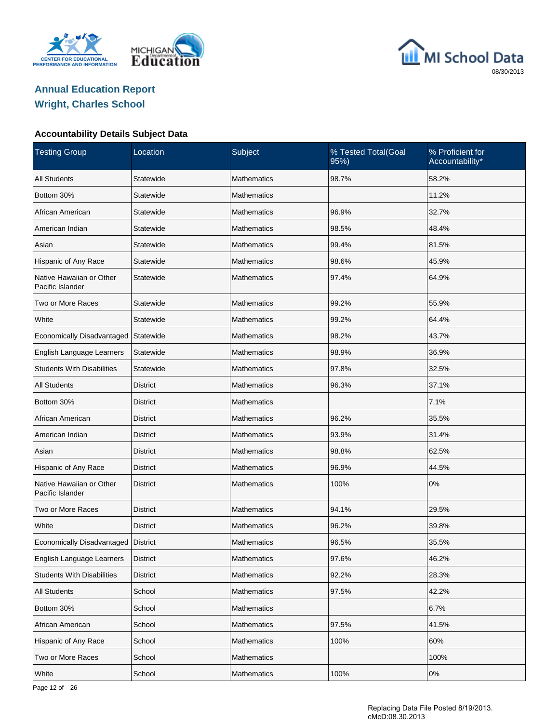





| <b>Testing Group</b>                         | Location        | Subject            | % Tested Total(Goal<br>95%) | % Proficient for<br>Accountability* |
|----------------------------------------------|-----------------|--------------------|-----------------------------|-------------------------------------|
| <b>All Students</b>                          | Statewide       | <b>Mathematics</b> | 98.7%                       | 58.2%                               |
| Bottom 30%                                   | Statewide       | Mathematics        |                             | 11.2%                               |
| African American                             | Statewide       | Mathematics        | 96.9%                       | 32.7%                               |
| American Indian                              | Statewide       | Mathematics        | 98.5%                       | 48.4%                               |
| Asian                                        | Statewide       | Mathematics        | 99.4%                       | 81.5%                               |
| Hispanic of Any Race                         | Statewide       | Mathematics        | 98.6%                       | 45.9%                               |
| Native Hawaiian or Other<br>Pacific Islander | Statewide       | Mathematics        | 97.4%                       | 64.9%                               |
| Two or More Races                            | Statewide       | <b>Mathematics</b> | 99.2%                       | 55.9%                               |
| White                                        | Statewide       | <b>Mathematics</b> | 99.2%                       | 64.4%                               |
| Economically Disadvantaged                   | Statewide       | <b>Mathematics</b> | 98.2%                       | 43.7%                               |
| English Language Learners                    | Statewide       | <b>Mathematics</b> | 98.9%                       | 36.9%                               |
| <b>Students With Disabilities</b>            | Statewide       | <b>Mathematics</b> | 97.8%                       | 32.5%                               |
| <b>All Students</b>                          | <b>District</b> | <b>Mathematics</b> | 96.3%                       | 37.1%                               |
| Bottom 30%                                   | <b>District</b> | <b>Mathematics</b> |                             | 7.1%                                |
| African American                             | <b>District</b> | <b>Mathematics</b> | 96.2%                       | 35.5%                               |
| American Indian                              | <b>District</b> | <b>Mathematics</b> | 93.9%                       | 31.4%                               |
| Asian                                        | <b>District</b> | <b>Mathematics</b> | 98.8%                       | 62.5%                               |
| Hispanic of Any Race                         | <b>District</b> | <b>Mathematics</b> | 96.9%                       | 44.5%                               |
| Native Hawaiian or Other<br>Pacific Islander | <b>District</b> | <b>Mathematics</b> | 100%                        | 0%                                  |
| Two or More Races                            | <b>District</b> | <b>Mathematics</b> | 94.1%                       | 29.5%                               |
| White                                        | <b>District</b> | <b>Mathematics</b> | 96.2%                       | 39.8%                               |
| Economically Disadvantaged   District        |                 | <b>Mathematics</b> | 96.5%                       | 35.5%                               |
| English Language Learners                    | District        | Mathematics        | 97.6%                       | 46.2%                               |
| <b>Students With Disabilities</b>            | <b>District</b> | Mathematics        | 92.2%                       | 28.3%                               |
| <b>All Students</b>                          | School          | <b>Mathematics</b> | 97.5%                       | 42.2%                               |
| Bottom 30%                                   | School          | Mathematics        |                             | 6.7%                                |
| African American                             | School          | <b>Mathematics</b> | 97.5%                       | 41.5%                               |
| Hispanic of Any Race                         | School          | Mathematics        | 100%                        | 60%                                 |
| Two or More Races                            | School          | <b>Mathematics</b> |                             | 100%                                |
| White                                        | School          | Mathematics        | 100%                        | 0%                                  |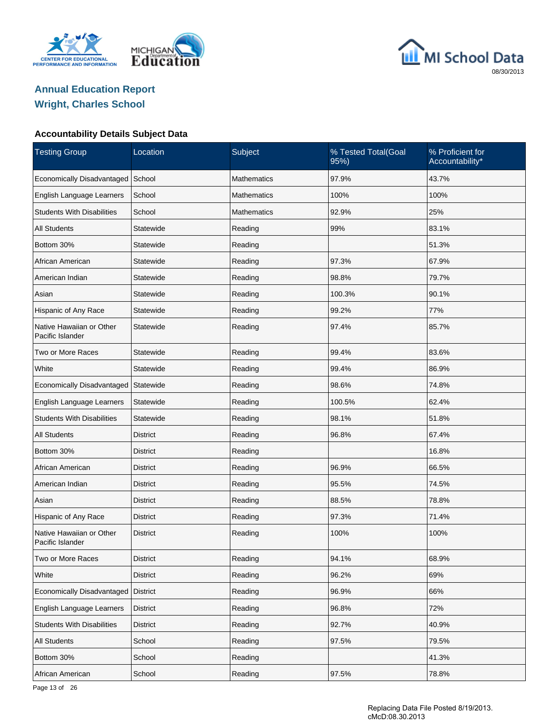





| <b>Testing Group</b>                         | Location        | Subject            | % Tested Total(Goal<br>95%) | % Proficient for<br>Accountability* |
|----------------------------------------------|-----------------|--------------------|-----------------------------|-------------------------------------|
| Economically Disadvantaged                   | School          | <b>Mathematics</b> | 97.9%                       | 43.7%                               |
| English Language Learners                    | School          | <b>Mathematics</b> | 100%                        | 100%                                |
| <b>Students With Disabilities</b>            | School          | <b>Mathematics</b> | 92.9%                       | 25%                                 |
| <b>All Students</b>                          | Statewide       | Reading            | 99%                         | 83.1%                               |
| Bottom 30%                                   | Statewide       | Reading            |                             | 51.3%                               |
| African American                             | Statewide       | Reading            | 97.3%                       | 67.9%                               |
| American Indian                              | Statewide       | Reading            | 98.8%                       | 79.7%                               |
| Asian                                        | Statewide       | Reading            | 100.3%                      | 90.1%                               |
| Hispanic of Any Race                         | Statewide       | Reading            | 99.2%                       | 77%                                 |
| Native Hawaiian or Other<br>Pacific Islander | Statewide       | Reading            | 97.4%                       | 85.7%                               |
| Two or More Races                            | Statewide       | Reading            | 99.4%                       | 83.6%                               |
| White                                        | Statewide       | Reading            | 99.4%                       | 86.9%                               |
| Economically Disadvantaged                   | Statewide       | Reading            | 98.6%                       | 74.8%                               |
| English Language Learners                    | Statewide       | Reading            | 100.5%                      | 62.4%                               |
| <b>Students With Disabilities</b>            | Statewide       | Reading            | 98.1%                       | 51.8%                               |
| <b>All Students</b>                          | District        | Reading            | 96.8%                       | 67.4%                               |
| Bottom 30%                                   | <b>District</b> | Reading            |                             | 16.8%                               |
| African American                             | District        | Reading            | 96.9%                       | 66.5%                               |
| American Indian                              | <b>District</b> | Reading            | 95.5%                       | 74.5%                               |
| Asian                                        | <b>District</b> | Reading            | 88.5%                       | 78.8%                               |
| Hispanic of Any Race                         | <b>District</b> | Reading            | 97.3%                       | 71.4%                               |
| Native Hawaiian or Other<br>Pacific Islander | <b>District</b> | Reading            | 100%                        | 100%                                |
| Two or More Races                            | <b>District</b> | Reading            | 94.1%                       | 68.9%                               |
| White                                        | District        | Reading            | 96.2%                       | 69%                                 |
| Economically Disadvantaged                   | <b>District</b> | Reading            | 96.9%                       | 66%                                 |
| English Language Learners                    | District        | Reading            | 96.8%                       | 72%                                 |
| <b>Students With Disabilities</b>            | <b>District</b> | Reading            | 92.7%                       | 40.9%                               |
| All Students                                 | School          | Reading            | 97.5%                       | 79.5%                               |
| Bottom 30%                                   | School          | Reading            |                             | 41.3%                               |
| African American                             | School          | Reading            | 97.5%                       | 78.8%                               |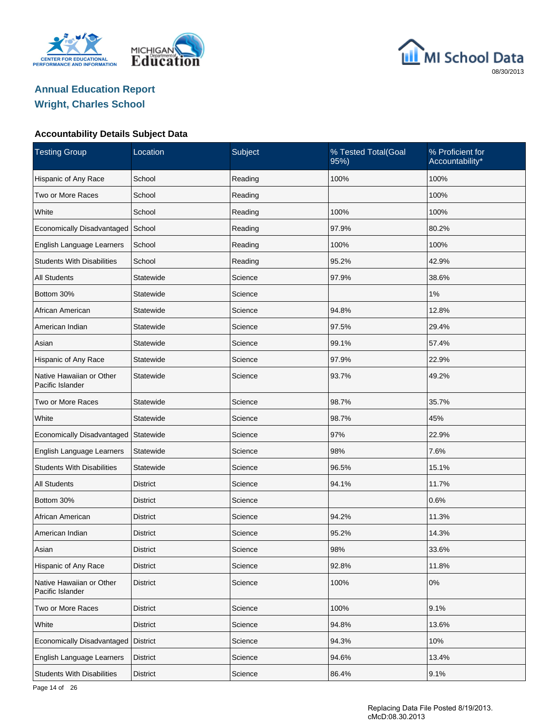





| <b>Testing Group</b>                         | Location        | Subject | % Tested Total(Goal<br>95%) | % Proficient for<br>Accountability* |
|----------------------------------------------|-----------------|---------|-----------------------------|-------------------------------------|
| Hispanic of Any Race                         | School          | Reading | 100%                        | 100%                                |
| Two or More Races                            | School          | Reading |                             | 100%                                |
| White                                        | School          | Reading | 100%                        | 100%                                |
| Economically Disadvantaged                   | School          | Reading | 97.9%                       | 80.2%                               |
| English Language Learners                    | School          | Reading | 100%                        | 100%                                |
| <b>Students With Disabilities</b>            | School          | Reading | 95.2%                       | 42.9%                               |
| <b>All Students</b>                          | Statewide       | Science | 97.9%                       | 38.6%                               |
| Bottom 30%                                   | Statewide       | Science |                             | 1%                                  |
| African American                             | Statewide       | Science | 94.8%                       | 12.8%                               |
| American Indian                              | Statewide       | Science | 97.5%                       | 29.4%                               |
| Asian                                        | Statewide       | Science | 99.1%                       | 57.4%                               |
| Hispanic of Any Race                         | Statewide       | Science | 97.9%                       | 22.9%                               |
| Native Hawaiian or Other<br>Pacific Islander | Statewide       | Science | 93.7%                       | 49.2%                               |
| Two or More Races                            | Statewide       | Science | 98.7%                       | 35.7%                               |
| White                                        | Statewide       | Science | 98.7%                       | 45%                                 |
| Economically Disadvantaged                   | Statewide       | Science | 97%                         | 22.9%                               |
| English Language Learners                    | Statewide       | Science | 98%                         | 7.6%                                |
| <b>Students With Disabilities</b>            | Statewide       | Science | 96.5%                       | 15.1%                               |
| <b>All Students</b>                          | <b>District</b> | Science | 94.1%                       | 11.7%                               |
| Bottom 30%                                   | District        | Science |                             | 0.6%                                |
| African American                             | <b>District</b> | Science | 94.2%                       | 11.3%                               |
| American Indian                              | District        | Science | 95.2%                       | 14.3%                               |
| Asian                                        | <b>District</b> | Science | 98%                         | 33.6%                               |
| Hispanic of Any Race                         | <b>District</b> | Science | 92.8%                       | 11.8%                               |
| Native Hawaiian or Other<br>Pacific Islander | <b>District</b> | Science | 100%                        | $0\%$                               |
| Two or More Races                            | <b>District</b> | Science | 100%                        | 9.1%                                |
| White                                        | <b>District</b> | Science | 94.8%                       | 13.6%                               |
| <b>Economically Disadvantaged</b>            | <b>District</b> | Science | 94.3%                       | 10%                                 |
| English Language Learners                    | District        | Science | 94.6%                       | 13.4%                               |
| <b>Students With Disabilities</b>            | <b>District</b> | Science | 86.4%                       | 9.1%                                |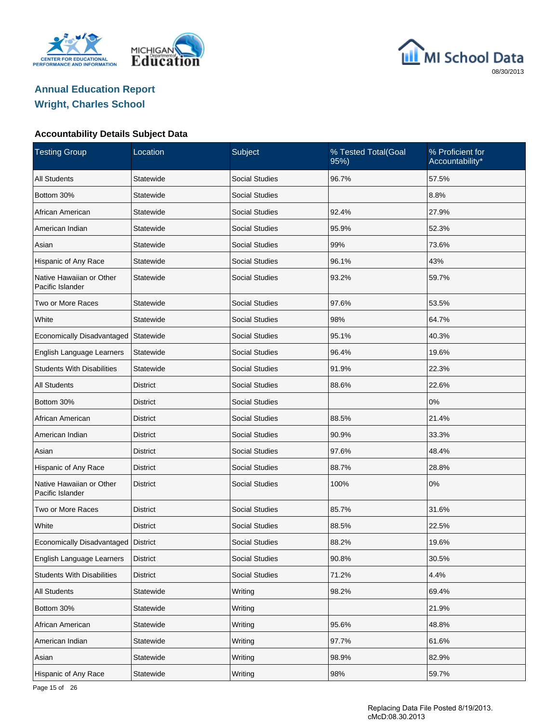





| <b>Testing Group</b>                         | Location        | Subject               | % Tested Total(Goal<br>% Proficient for<br>Accountability*<br>95%) |       |
|----------------------------------------------|-----------------|-----------------------|--------------------------------------------------------------------|-------|
| <b>All Students</b>                          | Statewide       | <b>Social Studies</b> | 96.7%                                                              | 57.5% |
| Bottom 30%                                   | Statewide       | <b>Social Studies</b> |                                                                    | 8.8%  |
| African American                             | Statewide       | <b>Social Studies</b> | 92.4%                                                              | 27.9% |
| American Indian                              | Statewide       | <b>Social Studies</b> | 95.9%                                                              | 52.3% |
| Asian                                        | Statewide       | <b>Social Studies</b> | 99%                                                                | 73.6% |
| Hispanic of Any Race                         | Statewide       | <b>Social Studies</b> | 96.1%                                                              | 43%   |
| Native Hawaiian or Other<br>Pacific Islander | Statewide       | <b>Social Studies</b> | 93.2%                                                              | 59.7% |
| Two or More Races                            | Statewide       | <b>Social Studies</b> | 97.6%                                                              | 53.5% |
| White                                        | Statewide       | <b>Social Studies</b> | 98%                                                                | 64.7% |
| Economically Disadvantaged                   | Statewide       | <b>Social Studies</b> | 95.1%                                                              | 40.3% |
| English Language Learners                    | Statewide       | <b>Social Studies</b> | 96.4%                                                              | 19.6% |
| <b>Students With Disabilities</b>            | Statewide       | <b>Social Studies</b> | 91.9%                                                              | 22.3% |
| <b>All Students</b>                          | <b>District</b> | <b>Social Studies</b> | 88.6%                                                              | 22.6% |
| Bottom 30%                                   | <b>District</b> | <b>Social Studies</b> |                                                                    | 0%    |
| African American                             | <b>District</b> | <b>Social Studies</b> | 88.5%                                                              | 21.4% |
| American Indian                              | <b>District</b> | <b>Social Studies</b> | 90.9%                                                              | 33.3% |
| Asian                                        | District        | <b>Social Studies</b> | 97.6%                                                              | 48.4% |
| Hispanic of Any Race                         | <b>District</b> | <b>Social Studies</b> | 88.7%                                                              | 28.8% |
| Native Hawaiian or Other<br>Pacific Islander | <b>District</b> | <b>Social Studies</b> | 100%                                                               | 0%    |
| Two or More Races                            | <b>District</b> | <b>Social Studies</b> | 85.7%                                                              | 31.6% |
| White                                        | <b>District</b> | <b>Social Studies</b> | 88.5%                                                              | 22.5% |
| Economically Disadvantaged   District        |                 | <b>Social Studies</b> | 88.2%                                                              | 19.6% |
| English Language Learners                    | <b>District</b> | Social Studies        | 90.8%                                                              | 30.5% |
| <b>Students With Disabilities</b>            | <b>District</b> | Social Studies        | 71.2%                                                              | 4.4%  |
| All Students                                 | Statewide       | Writing               | 98.2%                                                              | 69.4% |
| Bottom 30%                                   | Statewide       | Writing               |                                                                    | 21.9% |
| African American                             | Statewide       | Writing               | 95.6%                                                              | 48.8% |
| American Indian                              | Statewide       | Writing               | 97.7%                                                              | 61.6% |
| Asian                                        | Statewide       | Writing               | 98.9%                                                              | 82.9% |
| Hispanic of Any Race                         | Statewide       | Writing               | 98%                                                                | 59.7% |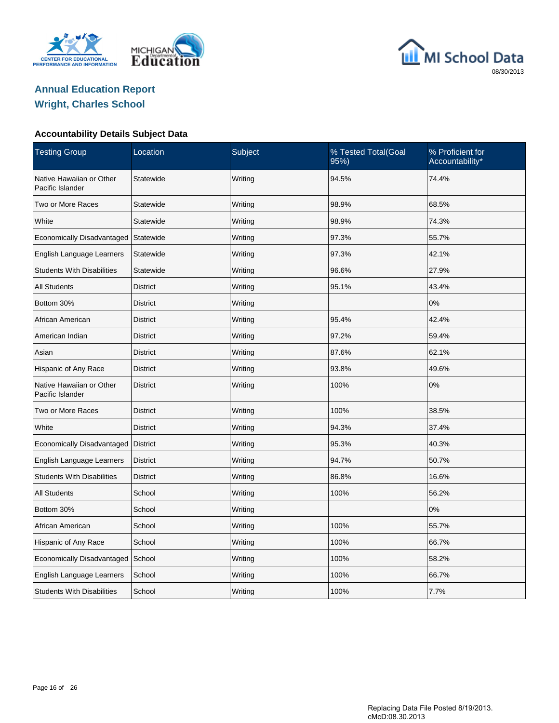





| <b>Testing Group</b>                         | Subject<br>% Tested Total(Goal<br>Location<br>95% |                  | % Proficient for<br>Accountability* |       |
|----------------------------------------------|---------------------------------------------------|------------------|-------------------------------------|-------|
| Native Hawaiian or Other<br>Pacific Islander | Writing<br>94.5%<br>Statewide                     |                  |                                     | 74.4% |
| Two or More Races                            | Statewide                                         | Writing          | 98.9%                               | 68.5% |
| White                                        | Statewide                                         | Writing          | 98.9%                               | 74.3% |
| Economically Disadvantaged                   | Statewide                                         | Writing          | 97.3%                               | 55.7% |
| English Language Learners                    | Statewide                                         | Writing          | 97.3%                               | 42.1% |
| <b>Students With Disabilities</b>            | Statewide                                         | Writing          | 96.6%                               | 27.9% |
| All Students                                 | <b>District</b>                                   | Writing          | 95.1%                               | 43.4% |
| Bottom 30%                                   | <b>District</b>                                   | Writing          |                                     | 0%    |
| African American                             | <b>District</b>                                   | Writing          | 95.4%                               | 42.4% |
| American Indian                              | <b>District</b><br>Writing<br>97.2%               |                  |                                     | 59.4% |
| Asian                                        | <b>District</b>                                   | Writing<br>87.6% |                                     | 62.1% |
| Hispanic of Any Race                         | <b>District</b>                                   | Writing          | 93.8%                               | 49.6% |
| Native Hawaiian or Other<br>Pacific Islander | <b>District</b>                                   | Writing          | 100%                                | 0%    |
| Two or More Races                            | <b>District</b>                                   | Writing          | 100%                                | 38.5% |
| White                                        | <b>District</b>                                   | Writing          | 94.3%                               | 37.4% |
| Economically Disadvantaged                   | <b>District</b>                                   | Writing          | 95.3%                               | 40.3% |
| English Language Learners                    | <b>District</b>                                   | Writing          | 94.7%                               | 50.7% |
| <b>Students With Disabilities</b>            | <b>District</b>                                   | Writing          | 86.8%                               | 16.6% |
| All Students                                 | School                                            | Writing          | 100%                                | 56.2% |
| Bottom 30%                                   | School                                            | Writing          |                                     | 0%    |
| African American                             | School                                            | Writing          | 100%                                | 55.7% |
| Hispanic of Any Race                         | School                                            | Writing          | 100%                                | 66.7% |
| Economically Disadvantaged                   | School                                            | Writing          | 100%                                | 58.2% |
| English Language Learners                    | School                                            | Writing          | 100%                                | 66.7% |
| <b>Students With Disabilities</b>            | School                                            | Writing          | 100%                                | 7.7%  |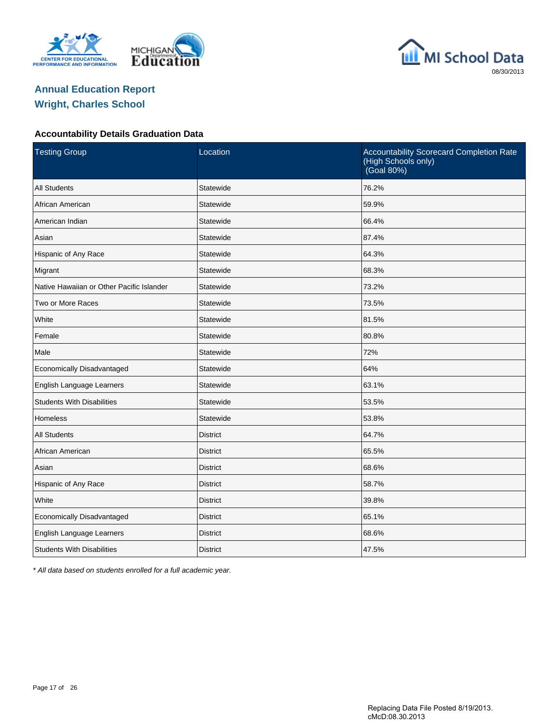





#### **Accountability Details Graduation Data**

| <b>Testing Group</b>                      | Location        | Accountability Scorecard Completion Rate<br>(High Schools only)<br>(Goal 80%) |
|-------------------------------------------|-----------------|-------------------------------------------------------------------------------|
| <b>All Students</b>                       | Statewide       | 76.2%                                                                         |
| African American                          | Statewide       | 59.9%                                                                         |
| American Indian                           | Statewide       | 66.4%                                                                         |
| Asian                                     | Statewide       | 87.4%                                                                         |
| Hispanic of Any Race                      | Statewide       | 64.3%                                                                         |
| Migrant                                   | Statewide       | 68.3%                                                                         |
| Native Hawaiian or Other Pacific Islander | Statewide       | 73.2%                                                                         |
| Two or More Races                         | Statewide       | 73.5%                                                                         |
| White                                     | Statewide       | 81.5%                                                                         |
| Female                                    | Statewide       | 80.8%                                                                         |
| Male                                      | Statewide       | 72%                                                                           |
| Economically Disadvantaged                | Statewide       | 64%                                                                           |
| English Language Learners                 | Statewide       | 63.1%                                                                         |
| <b>Students With Disabilities</b>         | Statewide       | 53.5%                                                                         |
| <b>Homeless</b>                           | Statewide       | 53.8%                                                                         |
| <b>All Students</b>                       | <b>District</b> | 64.7%                                                                         |
| African American                          | <b>District</b> | 65.5%                                                                         |
| Asian                                     | <b>District</b> | 68.6%                                                                         |
| Hispanic of Any Race                      | <b>District</b> | 58.7%                                                                         |
| White                                     | <b>District</b> | 39.8%                                                                         |
| Economically Disadvantaged                | <b>District</b> | 65.1%                                                                         |
| English Language Learners                 | <b>District</b> | 68.6%                                                                         |
| <b>Students With Disabilities</b>         | <b>District</b> | 47.5%                                                                         |

\* All data based on students enrolled for a full academic year.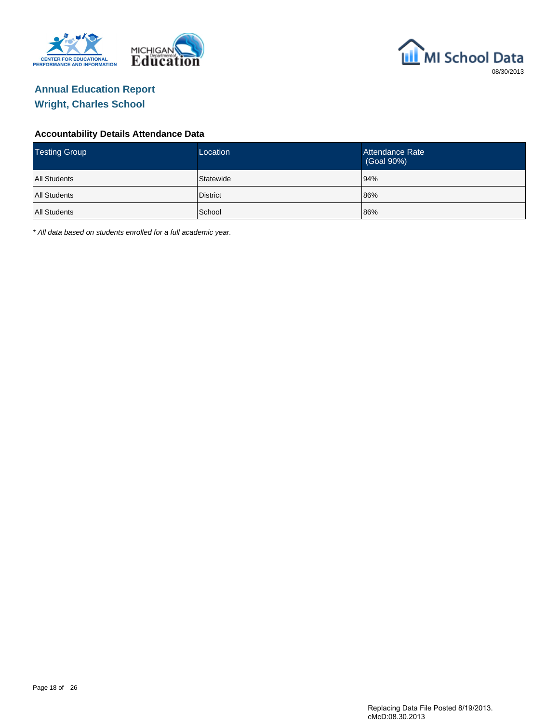



#### **Accountability Details Attendance Data**

| <b>Testing Group</b> | Location  | Attendance Rate<br>(Goal 90%) |
|----------------------|-----------|-------------------------------|
| <b>All Students</b>  | Statewide | 94%                           |
| <b>All Students</b>  | District  | 86%                           |
| <b>All Students</b>  | School    | 86%                           |

\* All data based on students enrolled for a full academic year.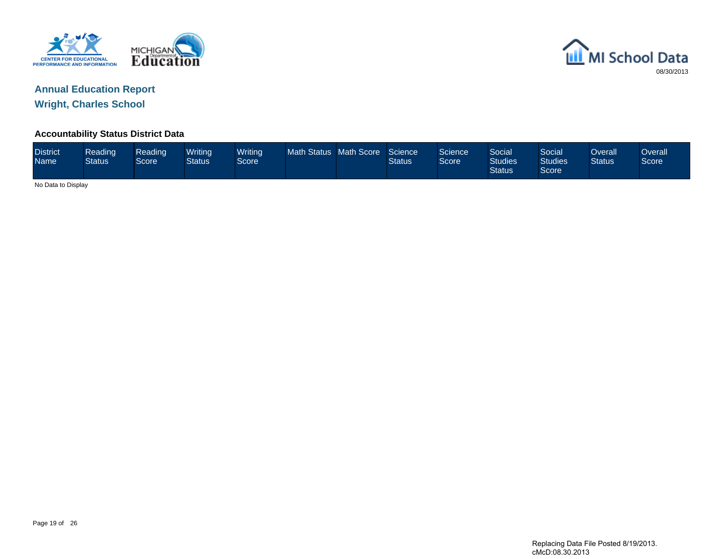



**Accountability Status District Data**

| <b>District</b><br><b>Name</b> | Reading<br><b>Status</b> | Reading<br>Score | Writing<br>Status | Writing<br><b>Score</b> | Math Status Math Score |  | Science<br><b>Status</b> | Science<br>Score | Social<br><b>Studies</b><br><b>Status</b> | Social<br><b>Studies</b><br>Score | Overall<br><b>Status</b> | Overall<br>Score |
|--------------------------------|--------------------------|------------------|-------------------|-------------------------|------------------------|--|--------------------------|------------------|-------------------------------------------|-----------------------------------|--------------------------|------------------|
|                                | No Data to Display       |                  |                   |                         |                        |  |                          |                  |                                           |                                   |                          |                  |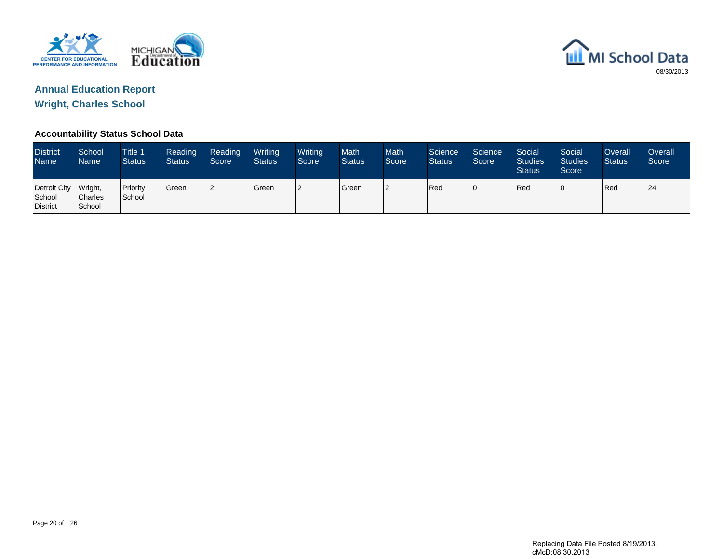



#### **Accountability Status School Data**

| <b>District</b><br>Name <sup>1</sup> | School<br>Name                      | Title 1<br><b>Status</b> | Reading<br><b>Status</b> | Reading<br>Score | Writing<br><b>Status</b> | Writing<br>Score | <b>Math</b><br><b>Status</b> | <b>Math</b><br>Score | Science<br><b>Status</b> | Science<br>Score | Social<br><b>Studies</b><br><b>Status</b> | Social<br><b>Studies</b><br>Score | Overall<br><b>Status</b> | <b>Overall</b><br>Score |
|--------------------------------------|-------------------------------------|--------------------------|--------------------------|------------------|--------------------------|------------------|------------------------------|----------------------|--------------------------|------------------|-------------------------------------------|-----------------------------------|--------------------------|-------------------------|
| Detroit City<br>School<br>District   | Wright,<br><b>Charles</b><br>School | Priority<br>School       | Green                    | 12               | <b>Green</b>             | 12               | <b>S</b> reen                | l2                   | Red                      | 10               | Red                                       |                                   | Red                      | 24                      |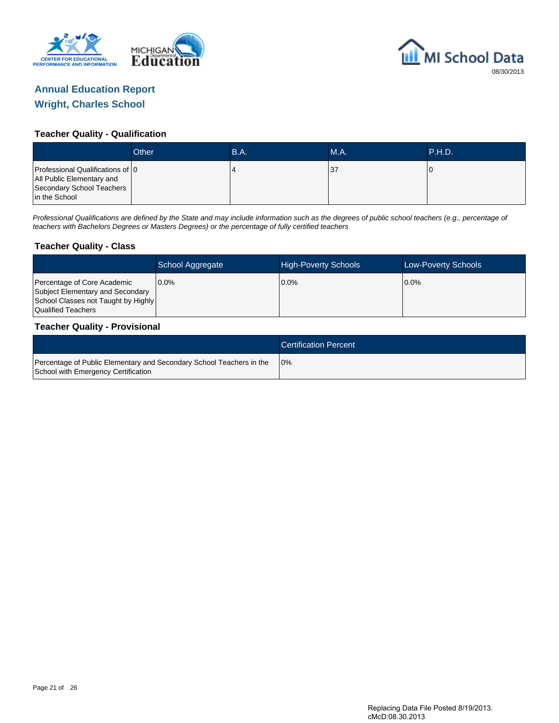



#### **Teacher Quality - Qualification**

|                                                                                                              | Other | <b>B.A.</b> | MA. | <b>P.H.D.</b> |
|--------------------------------------------------------------------------------------------------------------|-------|-------------|-----|---------------|
| Professional Qualifications of 10<br>All Public Elementary and<br>Secondary School Teachers<br>in the School |       |             | 37  |               |

Professional Qualifications are defined by the State and may include information such as the degrees of public school teachers (e.g., percentage of teachers with Bachelors Degrees or Masters Degrees) or the percentage of fully certified teachers

#### **Teacher Quality - Class**

|                                                                                                                              | School Aggregate | <b>High-Poverty Schools</b> | <b>Low-Poverty Schools</b> |
|------------------------------------------------------------------------------------------------------------------------------|------------------|-----------------------------|----------------------------|
| Percentage of Core Academic<br>Subject Elementary and Secondary<br>School Classes not Taught by Highly<br>Qualified Teachers | $0.0\%$          | $0.0\%$                     | $0.0\%$                    |

#### **Teacher Quality - Provisional**

|                                                                                                             | <b>Certification Percent</b> |
|-------------------------------------------------------------------------------------------------------------|------------------------------|
| Percentage of Public Elementary and Secondary School Teachers in the<br>School with Emergency Certification | 10%                          |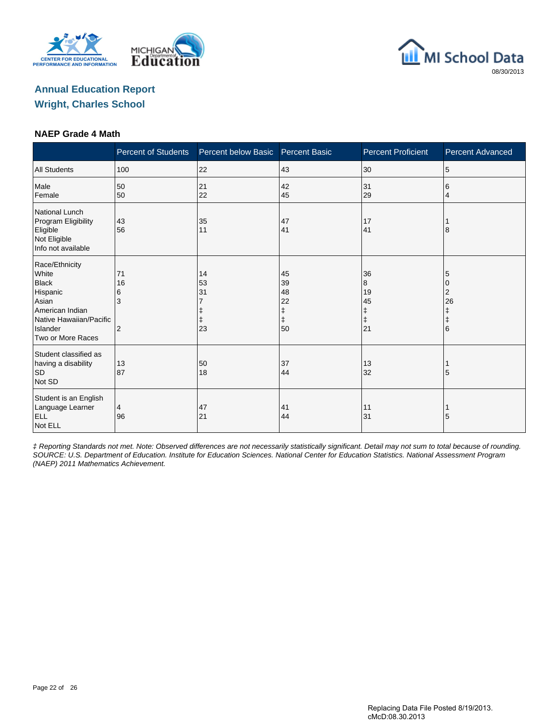





#### **NAEP Grade 4 Math**

|                                                                                                                                             | <b>Percent of Students</b> | Percent below Basic  | <b>Percent Basic</b>                          | <b>Percent Proficient</b>                    | Percent Advanced                |
|---------------------------------------------------------------------------------------------------------------------------------------------|----------------------------|----------------------|-----------------------------------------------|----------------------------------------------|---------------------------------|
| <b>All Students</b>                                                                                                                         | 100                        | 22                   | 43                                            | 30                                           | 5                               |
| Male<br>Female                                                                                                                              | 50<br>50                   | 21<br>22             | 42<br>45                                      | 31<br>29                                     | 6<br>4                          |
| <b>National Lunch</b><br>Program Eligibility<br>Eligible<br>Not Eligible<br>Info not available                                              | 43<br>56                   | 35<br>11             | 47<br>41                                      | 17<br>41                                     | 8                               |
| Race/Ethnicity<br>White<br><b>Black</b><br>Hispanic<br>Asian<br>American Indian<br>Native Hawaiian/Pacific<br>Islander<br>Two or More Races | 71<br>16<br>6<br>3<br>2    | 14<br>53<br>31<br>23 | 45<br>39<br>48<br>22<br>ŧ<br>$\ddagger$<br>50 | 36<br>8<br>19<br>45<br>ŧ<br>$\ddagger$<br>21 | 5<br>2<br>26<br>$\ddagger$<br>6 |
| Student classified as<br>having a disability<br>SD<br>Not SD                                                                                | 13<br>87                   | 50<br>18             | 37<br>44                                      | 13<br>32                                     | 5                               |
| Student is an English<br>Language Learner<br><b>ELL</b><br>Not ELL                                                                          | 4<br>96                    | 47<br>21             | 41<br>44                                      | 11<br>31                                     | 5                               |

‡ Reporting Standards not met. Note: Observed differences are not necessarily statistically significant. Detail may not sum to total because of rounding. SOURCE: U.S. Department of Education. Institute for Education Sciences. National Center for Education Statistics. National Assessment Program (NAEP) 2011 Mathematics Achievement.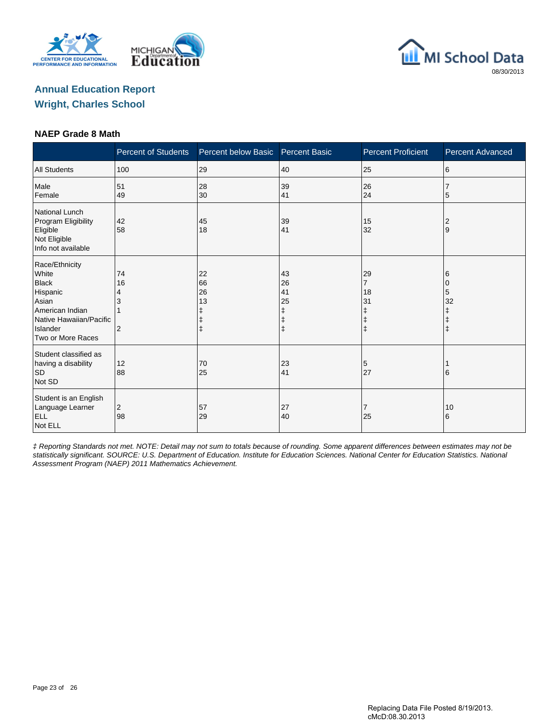





#### **NAEP Grade 8 Math**

|                                                                                                                                             | <b>Percent of Students</b> | Percent below Basic                | <b>Percent Basic</b>                | <b>Percent Proficient</b>                                | <b>Percent Advanced</b>         |
|---------------------------------------------------------------------------------------------------------------------------------------------|----------------------------|------------------------------------|-------------------------------------|----------------------------------------------------------|---------------------------------|
| <b>All Students</b>                                                                                                                         | 100                        | 29                                 | 40                                  | 25                                                       | 6                               |
| Male<br>Female                                                                                                                              | 51<br>49                   | 28<br>30                           | 39<br>41                            | 26<br>24                                                 | 5                               |
| <b>National Lunch</b><br>Program Eligibility<br>Eligible<br>Not Eligible<br>Info not available                                              | 42<br>58                   | 45<br>18                           | 39<br>41                            | 15<br>32                                                 | $\overline{c}$<br>9             |
| Race/Ethnicity<br>White<br><b>Black</b><br>Hispanic<br>Asian<br>American Indian<br>Native Hawaiian/Pacific<br>Islander<br>Two or More Races | 74<br>16<br>4<br>2         | 22<br>66<br>26<br>13<br>$\ddagger$ | 43<br>26<br>41<br>25<br>ŧ<br>ŧ<br>ŧ | 29<br>$\overline{7}$<br>18<br>31<br>ŧ<br>ŧ<br>$\ddagger$ | 6<br>0<br>5<br>32<br>$\ddagger$ |
| Student classified as<br>having a disability<br><b>SD</b><br>Not SD                                                                         | 12<br>88                   | 70<br>25                           | 23<br>41                            | 5<br>27                                                  | 6                               |
| Student is an English<br>Language Learner<br><b>ELL</b><br>Not ELL                                                                          | $\overline{c}$<br>98       | 57<br>29                           | 27<br>40                            | 7<br>25                                                  | 10<br>6                         |

‡ Reporting Standards not met. NOTE: Detail may not sum to totals because of rounding. Some apparent differences between estimates may not be statistically significant. SOURCE: U.S. Department of Education. Institute for Education Sciences. National Center for Education Statistics. National Assessment Program (NAEP) 2011 Mathematics Achievement.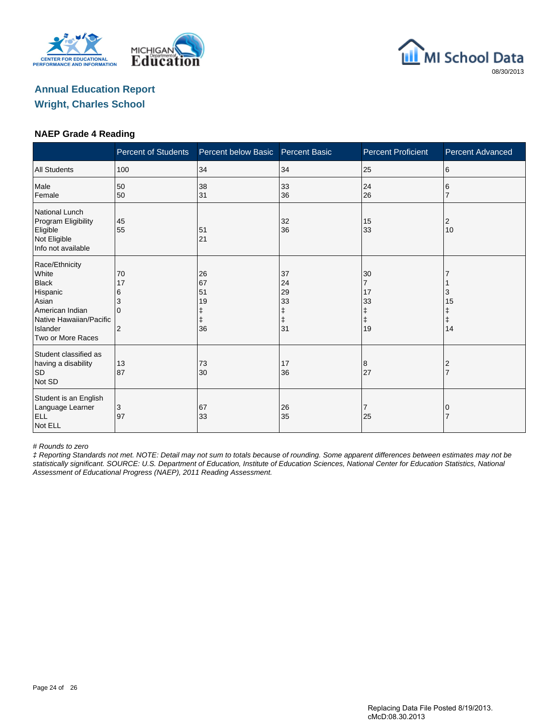





#### **NAEP Grade 4 Reading**

|                                                                                                                                             | <b>Percent of Students</b>                       | Percent below Basic        | <b>Percent Basic</b>                                                                      | <b>Percent Proficient</b>                                 | <b>Percent Advanced</b>          |
|---------------------------------------------------------------------------------------------------------------------------------------------|--------------------------------------------------|----------------------------|-------------------------------------------------------------------------------------------|-----------------------------------------------------------|----------------------------------|
| <b>All Students</b>                                                                                                                         | 100                                              | 34                         | 34                                                                                        | 25                                                        | 6                                |
| Male<br>Female                                                                                                                              | 50<br>50                                         | 38<br>31                   | 33<br>36                                                                                  | 24<br>26                                                  | 6                                |
| <b>National Lunch</b><br>Program Eligibility<br>Eligible<br>Not Eligible<br>Info not available                                              | 45<br>55                                         | 51<br>21                   | 32<br>36                                                                                  | 15<br>33                                                  | 2<br>10                          |
| Race/Ethnicity<br>White<br><b>Black</b><br>Hispanic<br>Asian<br>American Indian<br>Native Hawaiian/Pacific<br>Islander<br>Two or More Races | 70<br>17<br>6<br>3<br>$\Omega$<br>$\overline{2}$ | 26<br>67<br>51<br>19<br>36 | 37<br>24<br>29<br>33<br>$\begin{array}{c} \updownarrow \\ \updownarrow \end{array}$<br>31 | 30<br>$\overline{7}$<br>17<br>33<br>ŧ<br>$\ddagger$<br>19 | 3<br>15<br>Ŧ<br>$\ddagger$<br>14 |
| Student classified as<br>having a disability<br><b>SD</b><br>Not SD                                                                         | 13<br>87                                         | 73<br>30                   | 17<br>36                                                                                  | 8<br>27                                                   | 2                                |
| Student is an English<br>Language Learner<br><b>ELL</b><br>Not ELL                                                                          | 3<br>97                                          | 67<br>33                   | 26<br>35                                                                                  | 7<br>25                                                   | 0                                |

# Rounds to zero

‡ Reporting Standards not met. NOTE: Detail may not sum to totals because of rounding. Some apparent differences between estimates may not be statistically significant. SOURCE: U.S. Department of Education, Institute of Education Sciences, National Center for Education Statistics, National Assessment of Educational Progress (NAEP), 2011 Reading Assessment.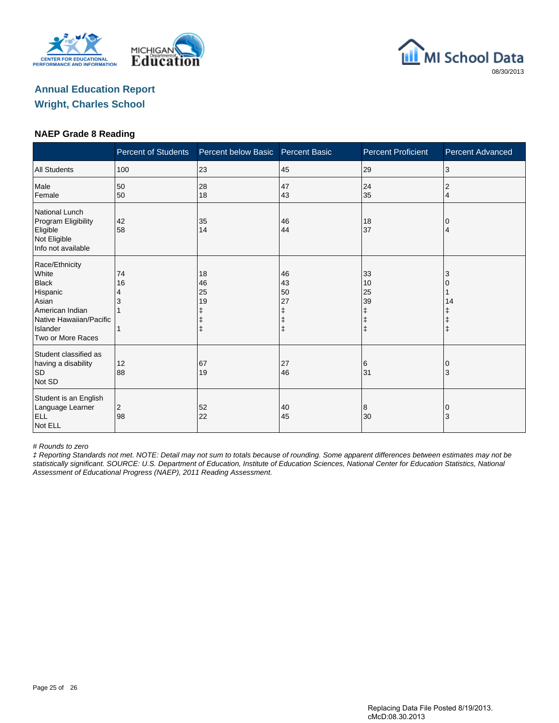





#### **NAEP Grade 8 Reading**

|                                                                                                                                             | <b>Percent of Students</b> | Percent below Basic  | <b>Percent Basic</b>      | <b>Percent Proficient</b>                    | <b>Percent Advanced</b> |
|---------------------------------------------------------------------------------------------------------------------------------------------|----------------------------|----------------------|---------------------------|----------------------------------------------|-------------------------|
| <b>All Students</b>                                                                                                                         | 100                        | 23                   | 45                        | 29                                           | 3                       |
| Male<br>Female                                                                                                                              | 50<br>50                   | 28<br>18             | 47<br>43                  | 24<br>35                                     | 2<br>4                  |
| <b>National Lunch</b><br>Program Eligibility<br>Eligible<br>Not Eligible<br>Info not available                                              | 42<br>58                   | 35<br>14             | 46<br>44                  | 18<br>37                                     | 0<br>4                  |
| Race/Ethnicity<br>White<br><b>Black</b><br>Hispanic<br>Asian<br>American Indian<br>Native Hawaiian/Pacific<br>Islander<br>Two or More Races | 74<br>16<br>4              | 18<br>46<br>25<br>19 | 46<br>43<br>50<br>27<br>ŧ | 33<br>10<br>25<br>39<br>ŧ<br>ŧ<br>$\ddagger$ | 3<br>14<br>$\ddagger$   |
| Student classified as<br>having a disability<br><b>SD</b><br>Not SD                                                                         | 12<br>88                   | 67<br>19             | 27<br>46                  | 6<br>31                                      | $\overline{0}$<br>3     |
| Student is an English<br>Language Learner<br><b>ELL</b><br>Not ELL                                                                          | 2<br>98                    | 52<br>22             | 40<br>45                  | 8<br>30                                      | 0<br>3                  |

# Rounds to zero

‡ Reporting Standards not met. NOTE: Detail may not sum to totals because of rounding. Some apparent differences between estimates may not be statistically significant. SOURCE: U.S. Department of Education, Institute of Education Sciences, National Center for Education Statistics, National Assessment of Educational Progress (NAEP), 2011 Reading Assessment.